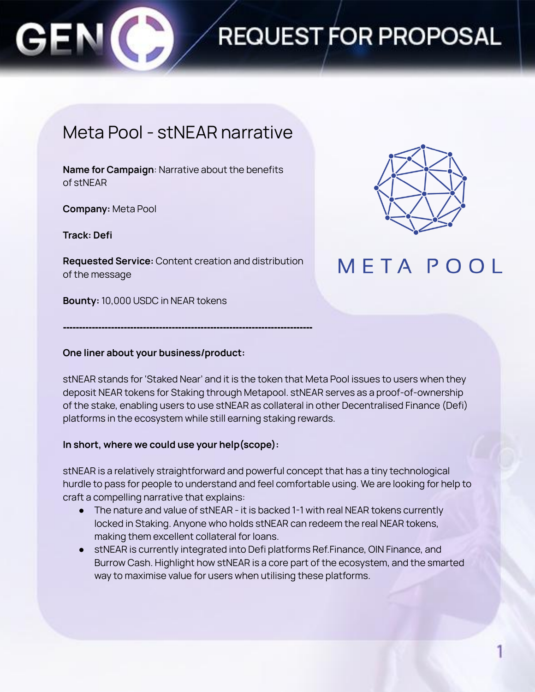

# **REQUEST FOR PROPOSAL**

### Meta Pool - stNEAR narrative

**Name for Campaign**: Narrative about the benefits of stNEAR

**Company:** Meta Pool

**Track: Defi**

**Requested Service:** Content creation and distribution of the message

**------------------------------------------------------------------------------**

**Bounty:** 10,000 USDC in NEAR tokens



## **META POOL**

#### **One liner about your business/product:**

stNEAR stands for 'Staked Near' and it is the token that Meta Pool issues to users when they deposit NEAR tokens for Staking through Metapool. stNEAR serves as a proof-of-ownership of the stake, enabling users to use stNEAR as collateral in other Decentralised Finance (Defi) platforms in the ecosystem while still earning staking rewards.

#### **In short, where we could use your help(scope):**

stNEAR is a relatively straightforward and powerful concept that has a tiny technological hurdle to pass for people to understand and feel comfortable using. We are looking for help to craft a compelling narrative that explains:

- The nature and value of stNEAR it is backed 1-1 with real NEAR tokens currently locked in Staking. Anyone who holds stNEAR can redeem the real NEAR tokens, making them excellent collateral for loans.
- stNEAR is currently integrated into Defi platforms Ref.Finance, OIN Finance, and Burrow Cash. Highlight how stNEAR is a core part of the ecosystem, and the smarted way to maximise value for users when utilising these platforms.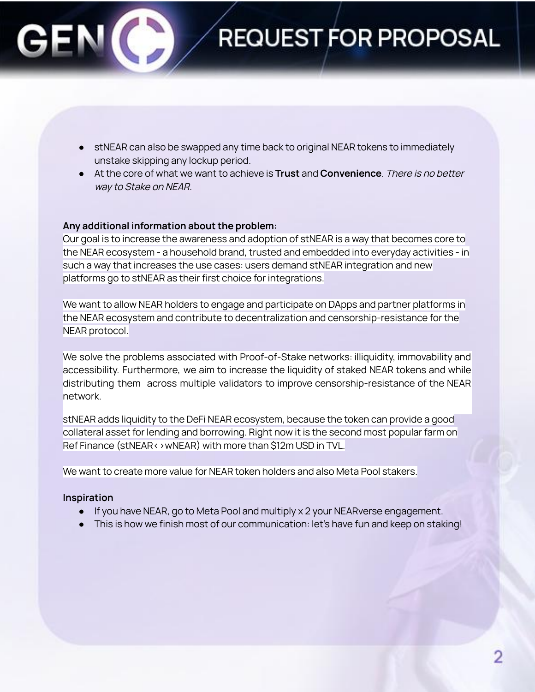

- stNEAR can also be swapped any time back to original NEAR tokens to immediately unstake skipping any lockup period.
- At the core of what we want to achieve is **Trust** and **Convenience**. There is no better way to Stake on NEAR.

#### **Any additional information about the problem:**

Our goal is to increase the awareness and adoption of stNEAR is a way that becomes core to the NEAR ecosystem - a household brand, trusted and embedded into everyday activities - in such a way that increases the use cases: users demand stNEAR integration and new platforms go to stNEAR as their first choice for integrations.

We want to allow NEAR holders to engage and participate on DApps and partner platforms in the NEAR ecosystem and contribute to decentralization and censorship-resistance for the NEAR protocol.

We solve the problems associated with Proof-of-Stake networks: illiquidity, immovability and accessibility. Furthermore, we aim to increase the liquidity of staked NEAR tokens and while distributing them across multiple validators to improve censorship-resistance of the NEAR network.

stNEAR adds liquidity to the DeFi NEAR ecosystem, because the token can provide a good collateral asset for lending and borrowing. Right now it is the second most popular farm on Ref Finance (stNEAR<>wNEAR) with more than \$12m USD in TVL.

We want to create more value for NEAR token holders and also Meta Pool stakers.

#### **Inspiration**

- If you have NEAR, go to Meta Pool and multiply x 2 your NEARverse engagement.
- This is how we finish most of our communication: let's have fun and keep on staking!